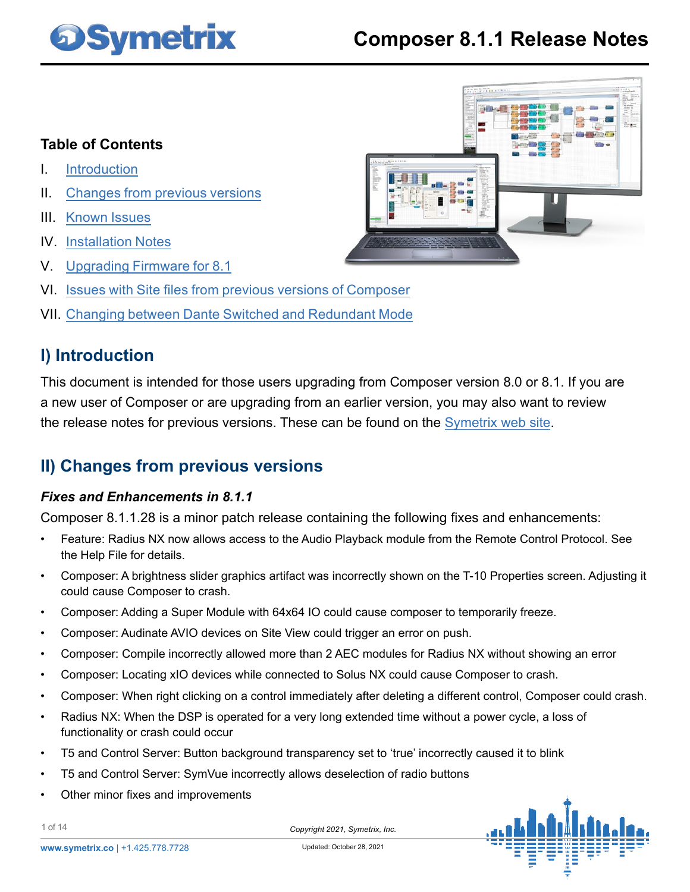# **DSymetrix**

## **Composer 8.1.1 Release Notes**

### **Table of Contents**

- I. Introduction
- II. Changes from previous versions
- III. [Known Issues](#page-4-0)
- IV. [Installation Notes](#page-8-0)
- V. [Upgrading Firmware for 8.1](#page-9-0)
- VI. [Issues with Site files from previous versions of Composer](#page-12-0)
- VII. [Changing between Dante Switched and Redundant Mode](#page-13-0)

### **I) Introduction**

This document is intended for those users upgrading from Composer version 8.0 or 8.1. If you are a new user of Composer or are upgrading from an earlier version, you may also want to review the release notes for previous versions. These can be found on the Symetrix web site.

### **II) Changes from previous versions**

### *Fixes and Enhancements in 8.1.1*

Composer 8.1.1.28 is a minor patch release containing the following fixes and enhancements:

- Feature: Radius NX now allows access to the Audio Playback module from the Remote Control Protocol. See the Help File for details.
- Composer: A brightness slider graphics artifact was incorrectly shown on the T-10 Properties screen. Adjusting it could cause Composer to crash.
- Composer: Adding a Super Module with 64x64 IO could cause composer to temporarily freeze.
- Composer: Audinate AVIO devices on Site View could trigger an error on push.
- Composer: Compile incorrectly allowed more than 2 AEC modules for Radius NX without showing an error
- Composer: Locating xIO devices while connected to Solus NX could cause Composer to crash.
- Composer: When right clicking on a control immediately after deleting a different control, Composer could crash.
- Radius NX: When the DSP is operated for a very long extended time without a power cycle, a loss of functionality or crash could occur
- T5 and Control Server: Button background transparency set to 'true' incorrectly caused it to blink
- T5 and Control Server: SymVue incorrectly allows deselection of radio buttons
- Other minor fixes and improvements



*Copyright 2021, Symetrix, Inc.* Updated: October 28, 2021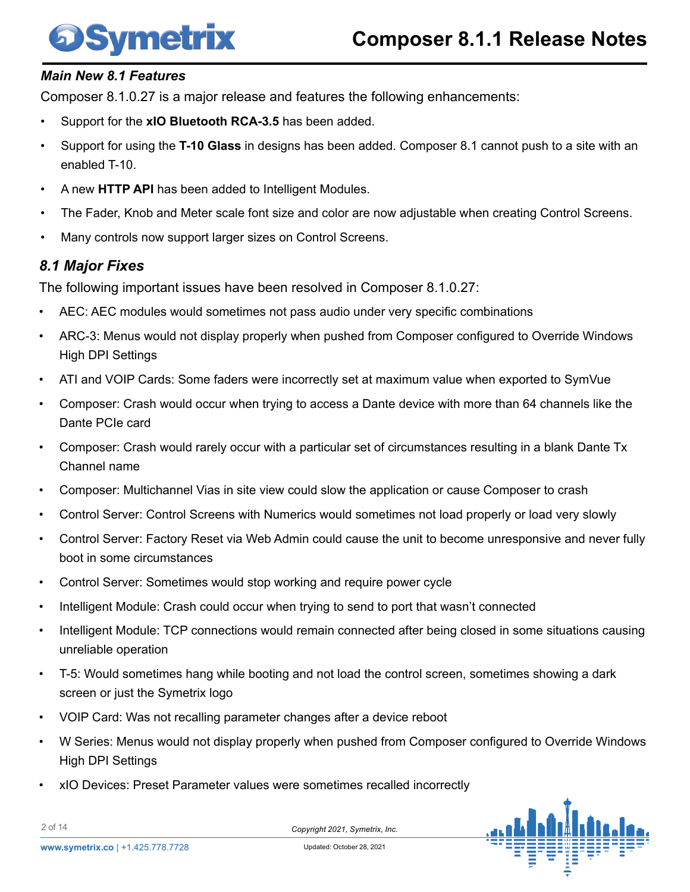# **Symetrix**

### *Main New 8.1 Features*

Composer 8.1.0.27 is a major release and features the following enhancements:

- Support for the **xIO Bluetooth RCA-3.5** has been added.
- Support for using the **T-10 Glass** in designs has been added. Composer 8.1 cannot push to a site with an enabled T-10.
- A new **HTTP API** has been added to Intelligent Modules.
- The Fader, Knob and Meter scale font size and color are now adjustable when creating Control Screens.
- Many controls now support larger sizes on Control Screens.

### *8.1 Major Fixes*

The following important issues have been resolved in Composer 8.1.0.27:

- AEC: AEC modules would sometimes not pass audio under very specific combinations
- ARC-3: Menus would not display properly when pushed from Composer configured to Override Windows High DPI Settings
- ATI and VOIP Cards: Some faders were incorrectly set at maximum value when exported to SymVue
- Composer: Crash would occur when trying to access a Dante device with more than 64 channels like the Dante PCIe card
- Composer: Crash would rarely occur with a particular set of circumstances resulting in a blank Dante Tx Channel name
- Composer: Multichannel Vias in site view could slow the application or cause Composer to crash
- Control Server: Control Screens with Numerics would sometimes not load properly or load very slowly
- Control Server: Factory Reset via Web Admin could cause the unit to become unresponsive and never fully boot in some circumstances
- Control Server: Sometimes would stop working and require power cycle
- Intelligent Module: Crash could occur when trying to send to port that wasn't connected
- Intelligent Module: TCP connections would remain connected after being closed in some situations causing unreliable operation
- T-5: Would sometimes hang while booting and not load the control screen, sometimes showing a dark screen or just the Symetrix logo
- VOIP Card: Was not recalling parameter changes after a device reboot
- W Series: Menus would not display properly when pushed from Composer configured to Override Windows High DPI Settings
- xIO Devices: Preset Parameter values were sometimes recalled incorrectly



2 of 14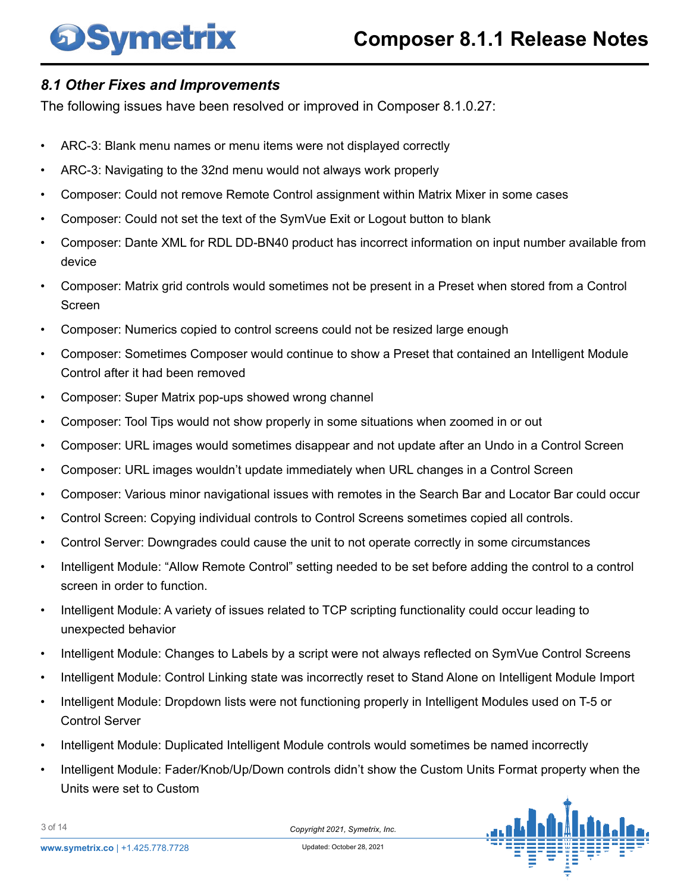# **Symetrix**

### *8.1 Other Fixes and Improvements*

The following issues have been resolved or improved in Composer 8.1.0.27:

- ARC-3: Blank menu names or menu items were not displayed correctly
- ARC-3: Navigating to the 32nd menu would not always work properly
- Composer: Could not remove Remote Control assignment within Matrix Mixer in some cases
- Composer: Could not set the text of the SymVue Exit or Logout button to blank
- Composer: Dante XML for RDL DD-BN40 product has incorrect information on input number available from device
- Composer: Matrix grid controls would sometimes not be present in a Preset when stored from a Control Screen
- Composer: Numerics copied to control screens could not be resized large enough
- Composer: Sometimes Composer would continue to show a Preset that contained an Intelligent Module Control after it had been removed
- Composer: Super Matrix pop-ups showed wrong channel
- Composer: Tool Tips would not show properly in some situations when zoomed in or out
- Composer: URL images would sometimes disappear and not update after an Undo in a Control Screen
- Composer: URL images wouldn't update immediately when URL changes in a Control Screen
- Composer: Various minor navigational issues with remotes in the Search Bar and Locator Bar could occur
- Control Screen: Copying individual controls to Control Screens sometimes copied all controls.
- Control Server: Downgrades could cause the unit to not operate correctly in some circumstances
- Intelligent Module: "Allow Remote Control" setting needed to be set before adding the control to a control screen in order to function.
- Intelligent Module: A variety of issues related to TCP scripting functionality could occur leading to unexpected behavior
- Intelligent Module: Changes to Labels by a script were not always reflected on SymVue Control Screens
- Intelligent Module: Control Linking state was incorrectly reset to Stand Alone on Intelligent Module Import
- Intelligent Module: Dropdown lists were not functioning properly in Intelligent Modules used on T-5 or Control Server
- Intelligent Module: Duplicated Intelligent Module controls would sometimes be named incorrectly
- Intelligent Module: Fader/Knob/Up/Down controls didn't show the Custom Units Format property when the Units were set to Custom



3 of 14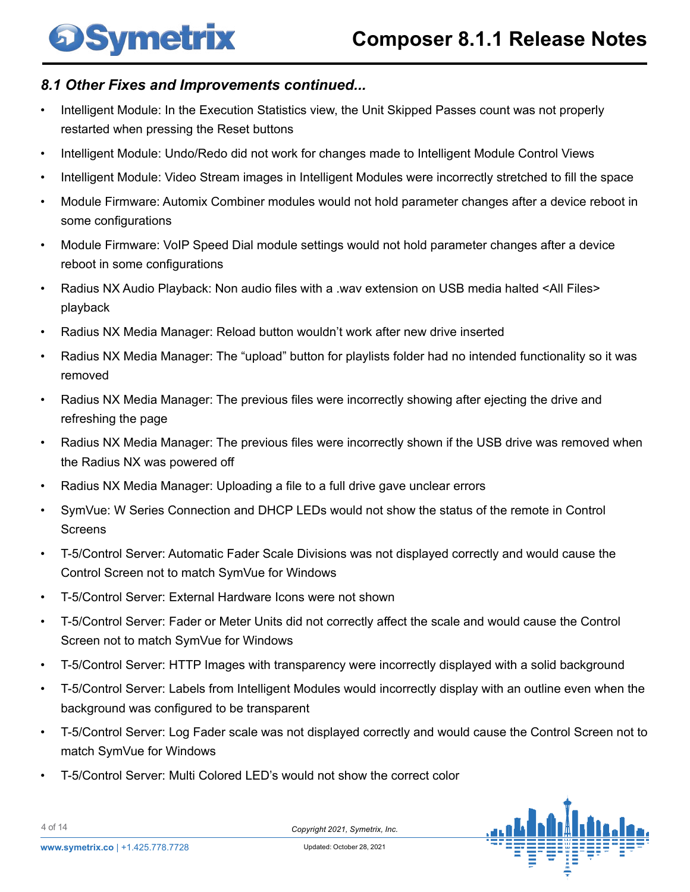# Symetrix

### *8.1 Other Fixes and Improvements continued...*

- Intelligent Module: In the Execution Statistics view, the Unit Skipped Passes count was not properly restarted when pressing the Reset buttons
- Intelligent Module: Undo/Redo did not work for changes made to Intelligent Module Control Views
- Intelligent Module: Video Stream images in Intelligent Modules were incorrectly stretched to fill the space
- Module Firmware: Automix Combiner modules would not hold parameter changes after a device reboot in some configurations
- Module Firmware: VoIP Speed Dial module settings would not hold parameter changes after a device reboot in some configurations
- Radius NX Audio Playback: Non audio files with a .wav extension on USB media halted <All Files> playback
- Radius NX Media Manager: Reload button wouldn't work after new drive inserted
- Radius NX Media Manager: The "upload" button for playlists folder had no intended functionality so it was removed
- Radius NX Media Manager: The previous files were incorrectly showing after ejecting the drive and refreshing the page
- Radius NX Media Manager: The previous files were incorrectly shown if the USB drive was removed when the Radius NX was powered off
- Radius NX Media Manager: Uploading a file to a full drive gave unclear errors
- SymVue: W Series Connection and DHCP LEDs would not show the status of the remote in Control **Screens**
- T-5/Control Server: Automatic Fader Scale Divisions was not displayed correctly and would cause the Control Screen not to match SymVue for Windows
- T-5/Control Server: External Hardware Icons were not shown
- T-5/Control Server: Fader or Meter Units did not correctly affect the scale and would cause the Control Screen not to match SymVue for Windows
- T-5/Control Server: HTTP Images with transparency were incorrectly displayed with a solid background
- T-5/Control Server: Labels from Intelligent Modules would incorrectly display with an outline even when the background was configured to be transparent
- T-5/Control Server: Log Fader scale was not displayed correctly and would cause the Control Screen not to match SymVue for Windows
- T-5/Control Server: Multi Colored LED's would not show the correct color



4 of 14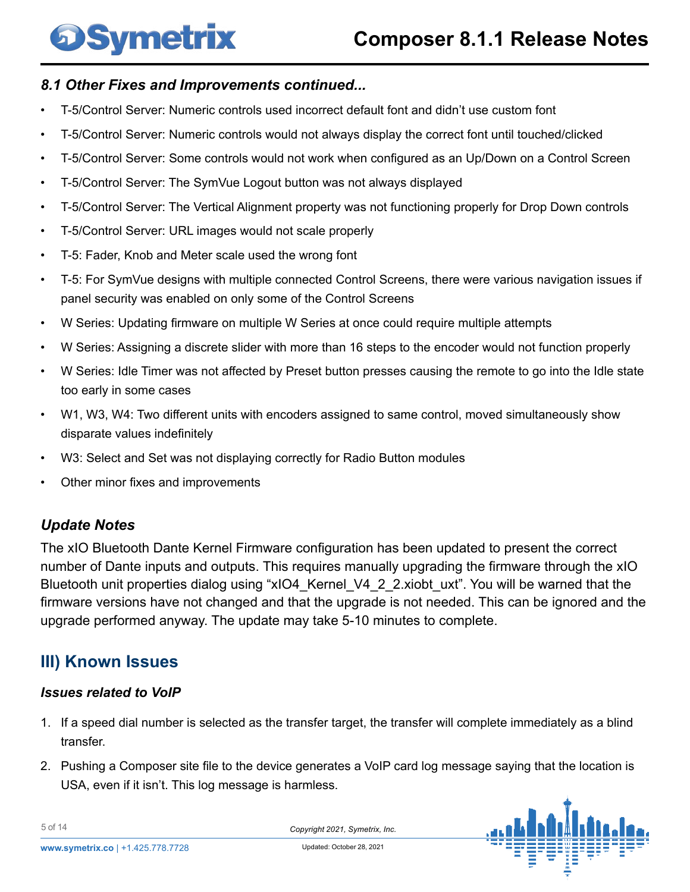# <span id="page-4-0"></span>**DSymetrix**

### *8.1 Other Fixes and Improvements continued...*

- T-5/Control Server: Numeric controls used incorrect default font and didn't use custom font
- T-5/Control Server: Numeric controls would not always display the correct font until touched/clicked
- T-5/Control Server: Some controls would not work when configured as an Up/Down on a Control Screen
- T-5/Control Server: The SymVue Logout button was not always displayed
- T-5/Control Server: The Vertical Alignment property was not functioning properly for Drop Down controls
- T-5/Control Server: URL images would not scale properly
- T-5: Fader, Knob and Meter scale used the wrong font
- T-5: For SymVue designs with multiple connected Control Screens, there were various navigation issues if panel security was enabled on only some of the Control Screens
- W Series: Updating firmware on multiple W Series at once could require multiple attempts
- W Series: Assigning a discrete slider with more than 16 steps to the encoder would not function properly
- W Series: Idle Timer was not affected by Preset button presses causing the remote to go into the Idle state too early in some cases
- W1, W3, W4: Two different units with encoders assigned to same control, moved simultaneously show disparate values indefinitely
- W3: Select and Set was not displaying correctly for Radio Button modules
- Other minor fixes and improvements

### *Update Notes*

The xIO Bluetooth Dante Kernel Firmware configuration has been updated to present the correct number of Dante inputs and outputs. This requires manually upgrading the firmware through the xIO Bluetooth unit properties dialog using "xIO4 Kernel V4 2 2.xiobt uxt". You will be warned that the firmware versions have not changed and that the upgrade is not needed. This can be ignored and the upgrade performed anyway. The update may take 5-10 minutes to complete.

### **III) Known Issues**

### *Issues related to VoIP*

- 1. If a speed dial number is selected as the transfer target, the transfer will complete immediately as a blind transfer.
- 2. Pushing a Composer site file to the device generates a VoIP card log message saying that the location is USA, even if it isn't. This log message is harmless.



5 of 14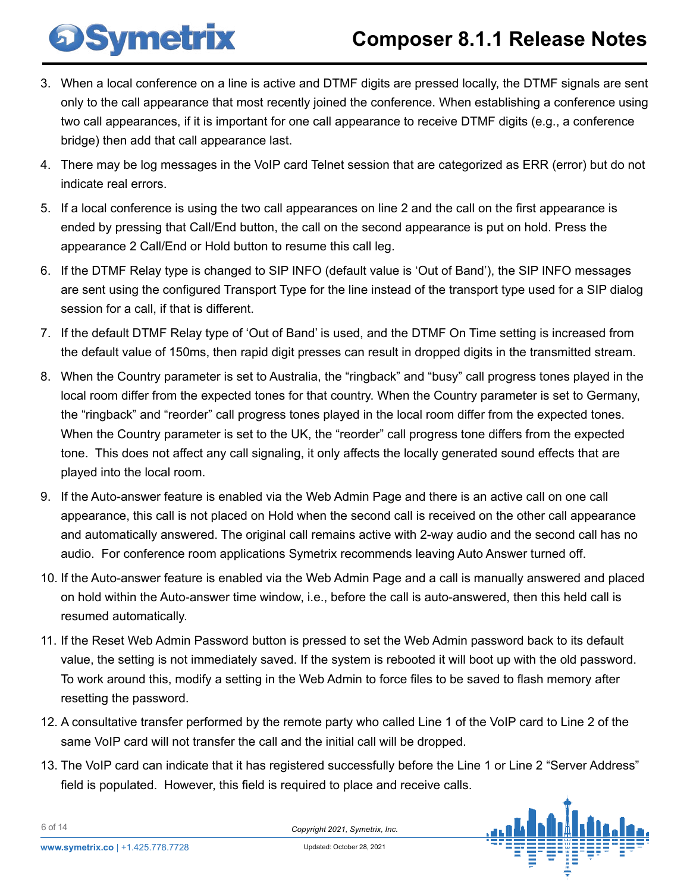- 3. When a local conference on a line is active and DTMF digits are pressed locally, the DTMF signals are sent only to the call appearance that most recently joined the conference. When establishing a conference using two call appearances, if it is important for one call appearance to receive DTMF digits (e.g., a conference bridge) then add that call appearance last.
- 4. There may be log messages in the VoIP card Telnet session that are categorized as ERR (error) but do not indicate real errors.
- 5. If a local conference is using the two call appearances on line 2 and the call on the first appearance is ended by pressing that Call/End button, the call on the second appearance is put on hold. Press the appearance 2 Call/End or Hold button to resume this call leg.
- 6. If the DTMF Relay type is changed to SIP INFO (default value is 'Out of Band'), the SIP INFO messages are sent using the configured Transport Type for the line instead of the transport type used for a SIP dialog session for a call, if that is different.
- 7. If the default DTMF Relay type of 'Out of Band' is used, and the DTMF On Time setting is increased from the default value of 150ms, then rapid digit presses can result in dropped digits in the transmitted stream.
- 8. When the Country parameter is set to Australia, the "ringback" and "busy" call progress tones played in the local room differ from the expected tones for that country. When the Country parameter is set to Germany, the "ringback" and "reorder" call progress tones played in the local room differ from the expected tones. When the Country parameter is set to the UK, the "reorder" call progress tone differs from the expected tone. This does not affect any call signaling, it only affects the locally generated sound effects that are played into the local room.
- 9. If the Auto-answer feature is enabled via the Web Admin Page and there is an active call on one call appearance, this call is not placed on Hold when the second call is received on the other call appearance and automatically answered. The original call remains active with 2-way audio and the second call has no audio. For conference room applications Symetrix recommends leaving Auto Answer turned off.
- 10. If the Auto-answer feature is enabled via the Web Admin Page and a call is manually answered and placed on hold within the Auto-answer time window, i.e., before the call is auto-answered, then this held call is resumed automatically.
- 11. If the Reset Web Admin Password button is pressed to set the Web Admin password back to its default value, the setting is not immediately saved. If the system is rebooted it will boot up with the old password. To work around this, modify a setting in the Web Admin to force files to be saved to flash memory after resetting the password.
- 12. A consultative transfer performed by the remote party who called Line 1 of the VoIP card to Line 2 of the same VoIP card will not transfer the call and the initial call will be dropped.
- 13. The VoIP card can indicate that it has registered successfully before the Line 1 or Line 2 "Server Address" field is populated. However, this field is required to place and receive calls.



**DSymetrix** 

6 of 14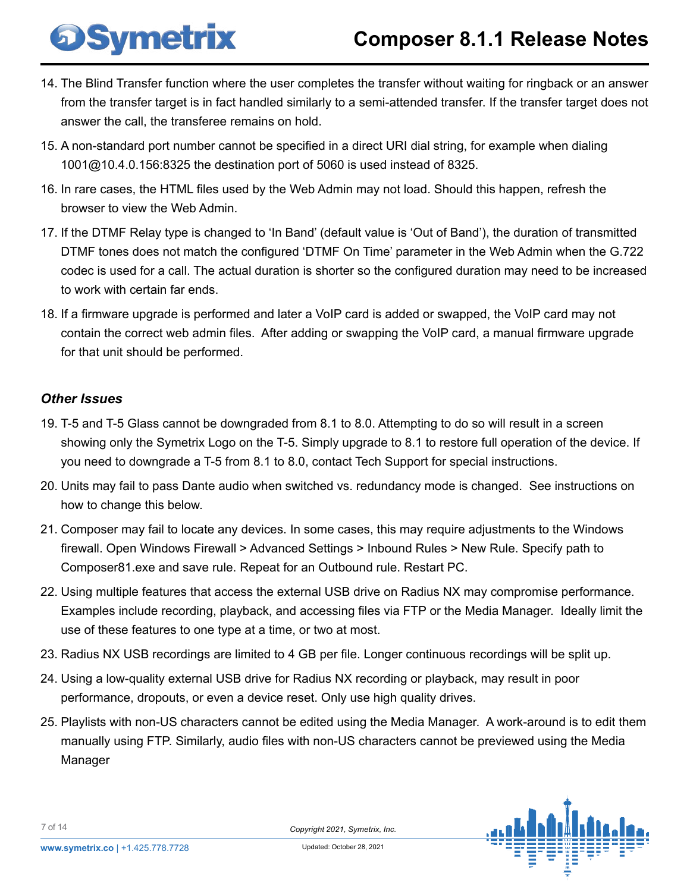- 14. The Blind Transfer function where the user completes the transfer without waiting for ringback or an answer from the transfer target is in fact handled similarly to a semi-attended transfer. If the transfer target does not answer the call, the transferee remains on hold.
- 15. A non-standard port number cannot be specified in a direct URI dial string, for example when dialing 1001@10.4.0.156:8325 the destination port of 5060 is used instead of 8325.
- 16. In rare cases, the HTML files used by the Web Admin may not load. Should this happen, refresh the browser to view the Web Admin.
- 17. If the DTMF Relay type is changed to 'In Band' (default value is 'Out of Band'), the duration of transmitted DTMF tones does not match the configured 'DTMF On Time' parameter in the Web Admin when the G.722 codec is used for a call. The actual duration is shorter so the configured duration may need to be increased to work with certain far ends.
- 18. If a firmware upgrade is performed and later a VoIP card is added or swapped, the VoIP card may not contain the correct web admin files. After adding or swapping the VoIP card, a manual firmware upgrade for that unit should be performed.

### *Other Issues*

**DSymetrix** 

- 19. T-5 and T-5 Glass cannot be downgraded from 8.1 to 8.0. Attempting to do so will result in a screen showing only the Symetrix Logo on the T-5. Simply upgrade to 8.1 to restore full operation of the device. If you need to downgrade a T-5 from 8.1 to 8.0, contact Tech Support for special instructions.
- 20. Units may fail to pass Dante audio when switched vs. redundancy mode is changed. See instructions on how to change this below.
- 21. Composer may fail to locate any devices. In some cases, this may require adjustments to the Windows firewall. Open Windows Firewall > Advanced Settings > Inbound Rules > New Rule. Specify path to Composer81.exe and save rule. Repeat for an Outbound rule. Restart PC.
- 22. Using multiple features that access the external USB drive on Radius NX may compromise performance. Examples include recording, playback, and accessing files via FTP or the Media Manager. Ideally limit the use of these features to one type at a time, or two at most.
- 23. Radius NX USB recordings are limited to 4 GB per file. Longer continuous recordings will be split up.
- 24. Using a low-quality external USB drive for Radius NX recording or playback, may result in poor performance, dropouts, or even a device reset. Only use high quality drives.
- 25. Playlists with non-US characters cannot be edited using the Media Manager. A work-around is to edit them manually using FTP. Similarly, audio files with non-US characters cannot be previewed using the Media Manager

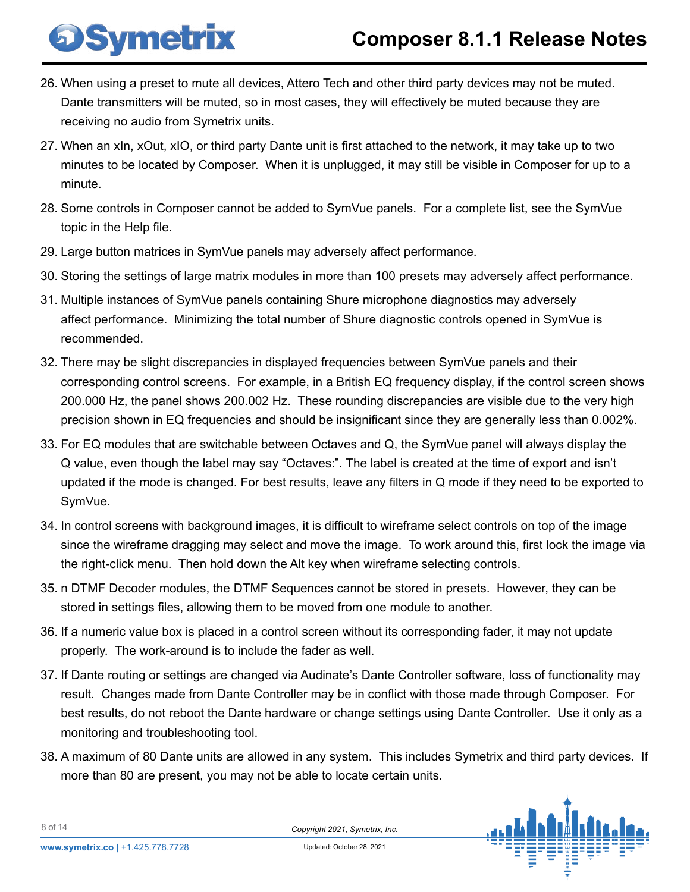- 26. When using a preset to mute all devices, Attero Tech and other third party devices may not be muted. Dante transmitters will be muted, so in most cases, they will effectively be muted because they are receiving no audio from Symetrix units.
- 27. When an xIn, xOut, xIO, or third party Dante unit is first attached to the network, it may take up to two minutes to be located by Composer. When it is unplugged, it may still be visible in Composer for up to a minute.
- 28. Some controls in Composer cannot be added to SymVue panels. For a complete list, see the SymVue topic in the Help file.
- 29. Large button matrices in SymVue panels may adversely affect performance.

**DSymetrix** 

- 30. Storing the settings of large matrix modules in more than 100 presets may adversely affect performance.
- 31. Multiple instances of SymVue panels containing Shure microphone diagnostics may adversely affect performance. Minimizing the total number of Shure diagnostic controls opened in SymVue is recommended.
- 32. There may be slight discrepancies in displayed frequencies between SymVue panels and their corresponding control screens. For example, in a British EQ frequency display, if the control screen shows 200.000 Hz, the panel shows 200.002 Hz. These rounding discrepancies are visible due to the very high precision shown in EQ frequencies and should be insignificant since they are generally less than 0.002%.
- 33. For EQ modules that are switchable between Octaves and Q, the SymVue panel will always display the Q value, even though the label may say "Octaves:". The label is created at the time of export and isn't updated if the mode is changed. For best results, leave any filters in Q mode if they need to be exported to SymVue.
- 34. In control screens with background images, it is difficult to wireframe select controls on top of the image since the wireframe dragging may select and move the image. To work around this, first lock the image via the right-click menu. Then hold down the Alt key when wireframe selecting controls.
- 35. n DTMF Decoder modules, the DTMF Sequences cannot be stored in presets. However, they can be stored in settings files, allowing them to be moved from one module to another.
- 36. If a numeric value box is placed in a control screen without its corresponding fader, it may not update properly. The work-around is to include the fader as well.
- 37. If Dante routing or settings are changed via Audinate's Dante Controller software, loss of functionality may result. Changes made from Dante Controller may be in conflict with those made through Composer. For best results, do not reboot the Dante hardware or change settings using Dante Controller. Use it only as a monitoring and troubleshooting tool.
- 38. A maximum of 80 Dante units are allowed in any system. This includes Symetrix and third party devices. If more than 80 are present, you may not be able to locate certain units.



8 of 14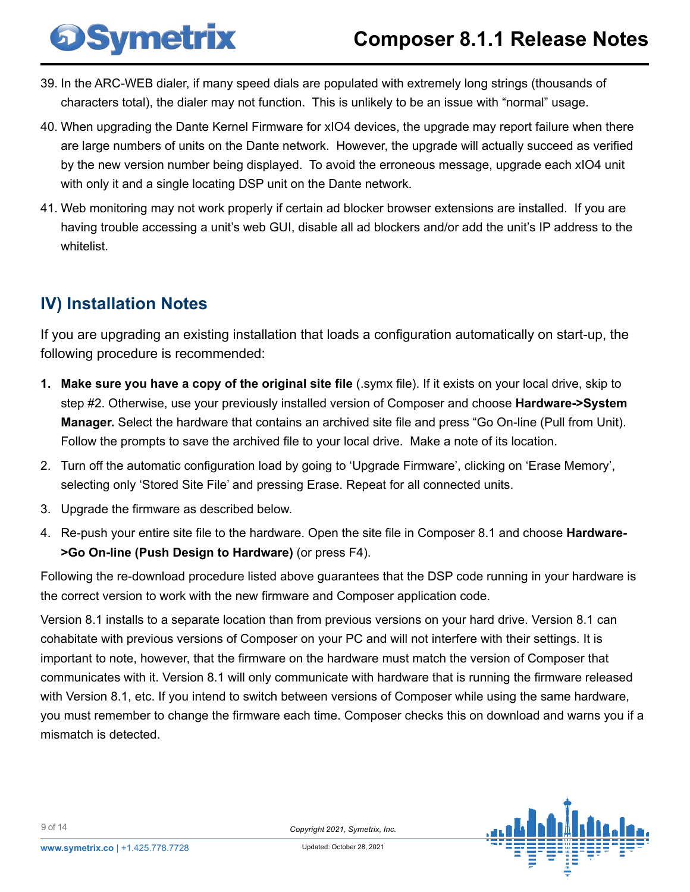- 39. In the ARC-WEB dialer, if many speed dials are populated with extremely long strings (thousands of characters total), the dialer may not function. This is unlikely to be an issue with "normal" usage.
- 40. When upgrading the Dante Kernel Firmware for xIO4 devices, the upgrade may report failure when there are large numbers of units on the Dante network. However, the upgrade will actually succeed as verified by the new version number being displayed. To avoid the erroneous message, upgrade each xIO4 unit with only it and a single locating DSP unit on the Dante network.
- 41. Web monitoring may not work properly if certain ad blocker browser extensions are installed. If you are having trouble accessing a unit's web GUI, disable all ad blockers and/or add the unit's IP address to the whitelist.

## **IV) Installation Notes**

<span id="page-8-0"></span>**DSymetrix** 

If you are upgrading an existing installation that loads a configuration automatically on start-up, the following procedure is recommended:

- **1. Make sure you have a copy of the original site file** (.symx file). If it exists on your local drive, skip to step #2. Otherwise, use your previously installed version of Composer and choose **Hardware->System Manager.** Select the hardware that contains an archived site file and press "Go On-line (Pull from Unit). Follow the prompts to save the archived file to your local drive. Make a note of its location.
- 2. Turn off the automatic configuration load by going to 'Upgrade Firmware', clicking on 'Erase Memory', selecting only 'Stored Site File' and pressing Erase. Repeat for all connected units.
- 3. Upgrade the firmware as described below.
- 4. Re-push your entire site file to the hardware. Open the site file in Composer 8.1 and choose **Hardware- >Go On-line (Push Design to Hardware)** (or press F4).

Following the re-download procedure listed above guarantees that the DSP code running in your hardware is the correct version to work with the new firmware and Composer application code.

Version 8.1 installs to a separate location than from previous versions on your hard drive. Version 8.1 can cohabitate with previous versions of Composer on your PC and will not interfere with their settings. It is important to note, however, that the firmware on the hardware must match the version of Composer that communicates with it. Version 8.1 will only communicate with hardware that is running the firmware released with Version 8.1, etc. If you intend to switch between versions of Composer while using the same hardware, you must remember to change the firmware each time. Composer checks this on download and warns you if a mismatch is detected.

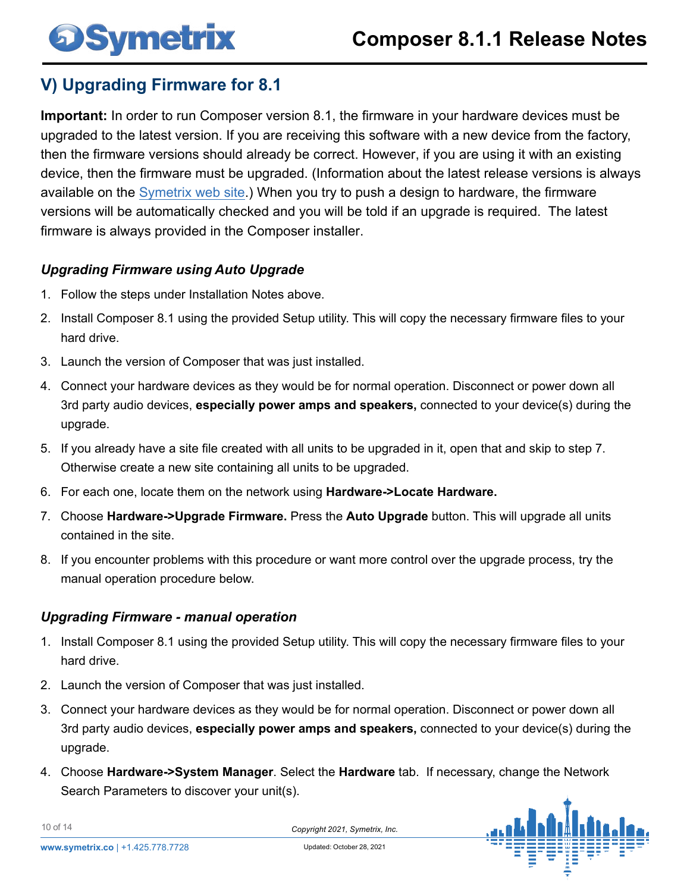# <span id="page-9-0"></span>**OSymetrix**

## **V) Upgrading Firmware for 8.1**

**Important:** In order to run Composer version 8.1, the firmware in your hardware devices must be upgraded to the latest version. If you are receiving this software with a new device from the factory, then the firmware versions should already be correct. However, if you are using it with an existing device, then the firmware must be upgraded. (Information about the latest release versions is always available on th[e Symetrix web site.\)](https://www.symetrix.co/support/knowledge-base/?faq_id=5596) When you try to push a design to hardware, the firmware versions will be automatically checked and you will be told if an upgrade is required. The latest firmware is always provided in the Composer installer.

### *Upgrading Firmware using Auto Upgrade*

- 1. Follow the steps under Installation Notes above.
- 2. Install Composer 8.1 using the provided Setup utility. This will copy the necessary firmware files to your hard drive.
- 3. Launch the version of Composer that was just installed.
- 4. Connect your hardware devices as they would be for normal operation. Disconnect or power down all 3rd party audio devices, **especially power amps and speakers,** connected to your device(s) during the upgrade.
- 5. If you already have a site file created with all units to be upgraded in it, open that and skip to step 7. Otherwise create a new site containing all units to be upgraded.
- 6. For each one, locate them on the network using **Hardware->Locate Hardware.**
- 7. Choose **Hardware->Upgrade Firmware.** Press the **Auto Upgrade** button. This will upgrade all units contained in the site.
- 8. If you encounter problems with this procedure or want more control over the upgrade process, try the manual operation procedure below.

### *Upgrading Firmware - manual operation*

- 1. Install Composer 8.1 using the provided Setup utility. This will copy the necessary firmware files to your hard drive.
- 2. Launch the version of Composer that was just installed.
- 3. Connect your hardware devices as they would be for normal operation. Disconnect or power down all 3rd party audio devices, **especially power amps and speakers,** connected to your device(s) during the upgrade.
- 4. Choose **Hardware->System Manager**. Select the **Hardware** tab. If necessary, change the Network Search Parameters to discover your unit(s).

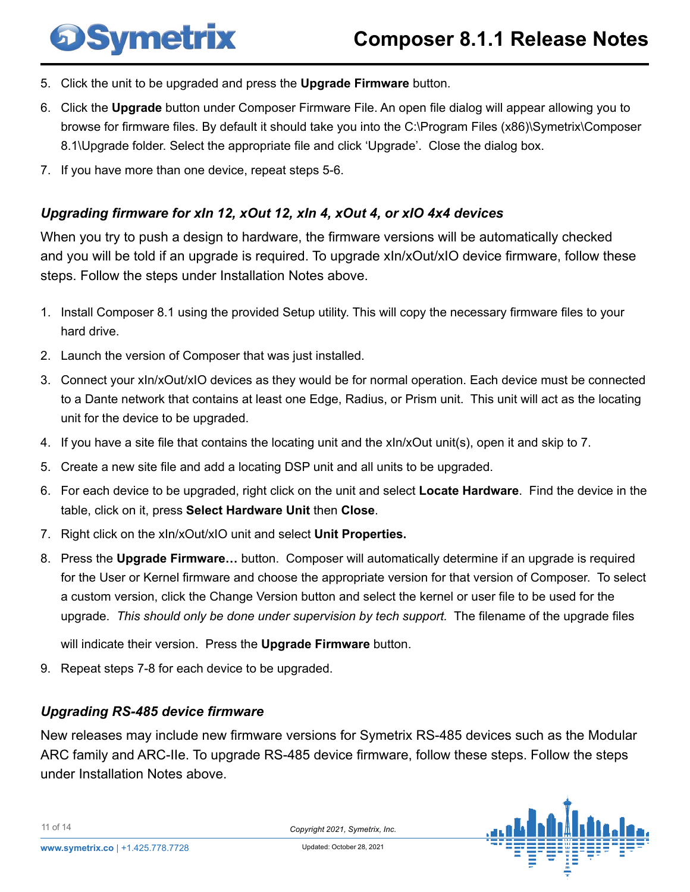- 5. Click the unit to be upgraded and press the **Upgrade Firmware** button.
- 6. Click the **Upgrade** button under Composer Firmware File. An open file dialog will appear allowing you to browse for firmware files. By default it should take you into the C:\Program Files (x86)\Symetrix\Composer 8.1\Upgrade folder. Select the appropriate file and click 'Upgrade'. Close the dialog box.
- 7. If you have more than one device, repeat steps 5-6.

**DSymetrix** 

### *Upgrading firmware for xIn 12, xOut 12, xIn 4, xOut 4, or xIO 4x4 devices*

When you try to push a design to hardware, the firmware versions will be automatically checked and you will be told if an upgrade is required. To upgrade xIn/xOut/xIO device firmware, follow these steps. Follow the steps under Installation Notes above.

- 1. Install Composer 8.1 using the provided Setup utility. This will copy the necessary firmware files to your hard drive.
- 2. Launch the version of Composer that was just installed.
- 3. Connect your xIn/xOut/xIO devices as they would be for normal operation. Each device must be connected to a Dante network that contains at least one Edge, Radius, or Prism unit. This unit will act as the locating unit for the device to be upgraded.
- 4. If you have a site file that contains the locating unit and the xIn/xOut unit(s), open it and skip to 7.
- 5. Create a new site file and add a locating DSP unit and all units to be upgraded.
- 6. For each device to be upgraded, right click on the unit and select **Locate Hardware**. Find the device in the table, click on it, press **Select Hardware Unit** then **Close**.
- 7. Right click on the xIn/xOut/xIO unit and select **Unit Properties.**
- 8. Press the **Upgrade Firmware…** button. Composer will automatically determine if an upgrade is required for the User or Kernel firmware and choose the appropriate version for that version of Composer. To select a custom version, click the Change Version button and select the kernel or user file to be used for the upgrade. *This should only be done under supervision by tech support.* The filename of the upgrade files

will indicate their version. Press the **Upgrade Firmware** button.

9. Repeat steps 7-8 for each device to be upgraded.

#### *Upgrading RS-485 device firmware*

New releases may include new firmware versions for Symetrix RS-485 devices such as the Modular ARC family and ARC-IIe. To upgrade RS-485 device firmware, follow these steps. Follow the steps under Installation Notes above.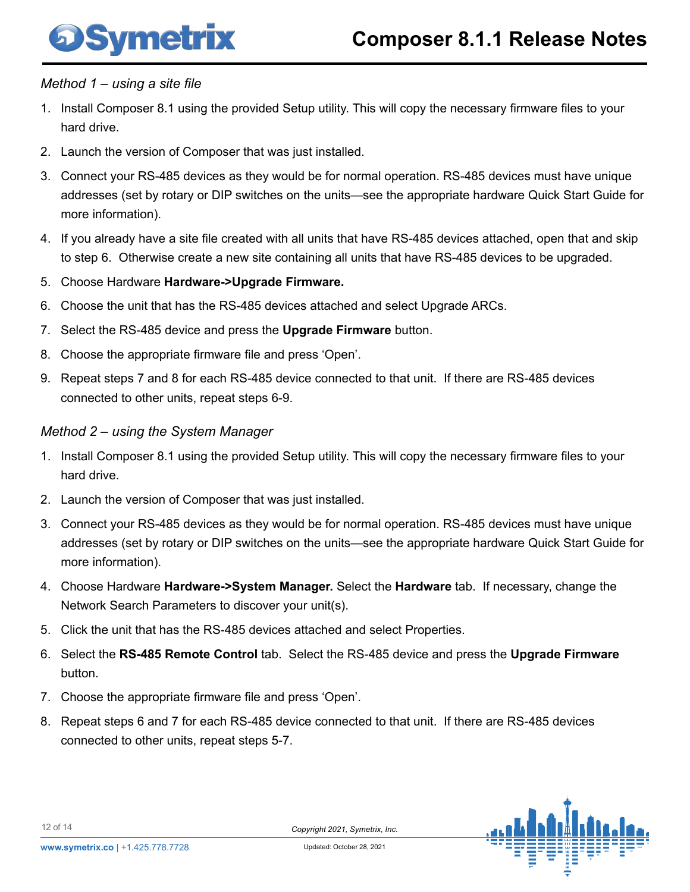

#### *Method 1 – using a site file*

**Symetrix** 

- 1. Install Composer 8.1 using the provided Setup utility. This will copy the necessary firmware files to your hard drive.
- 2. Launch the version of Composer that was just installed.
- 3. Connect your RS-485 devices as they would be for normal operation. RS-485 devices must have unique addresses (set by rotary or DIP switches on the units—see the appropriate hardware Quick Start Guide for more information).
- 4. If you already have a site file created with all units that have RS-485 devices attached, open that and skip to step 6. Otherwise create a new site containing all units that have RS-485 devices to be upgraded.
- 5. Choose Hardware **Hardware->Upgrade Firmware.**
- 6. Choose the unit that has the RS-485 devices attached and select Upgrade ARCs.
- 7. Select the RS-485 device and press the **Upgrade Firmware** button.
- 8. Choose the appropriate firmware file and press 'Open'.
- 9. Repeat steps 7 and 8 for each RS-485 device connected to that unit. If there are RS-485 devices connected to other units, repeat steps 6-9.

#### *Method 2 – using the System Manager*

- 1. Install Composer 8.1 using the provided Setup utility. This will copy the necessary firmware files to your hard drive.
- 2. Launch the version of Composer that was just installed.
- 3. Connect your RS-485 devices as they would be for normal operation. RS-485 devices must have unique addresses (set by rotary or DIP switches on the units—see the appropriate hardware Quick Start Guide for more information).
- 4. Choose Hardware **Hardware->System Manager.** Select the **Hardware** tab. If necessary, change the Network Search Parameters to discover your unit(s).
- 5. Click the unit that has the RS-485 devices attached and select Properties.
- 6. Select the **RS-485 Remote Control** tab. Select the RS-485 device and press the **Upgrade Firmware**  button.
- 7. Choose the appropriate firmware file and press 'Open'.
- 8. Repeat steps 6 and 7 for each RS-485 device connected to that unit. If there are RS-485 devices connected to other units, repeat steps 5-7.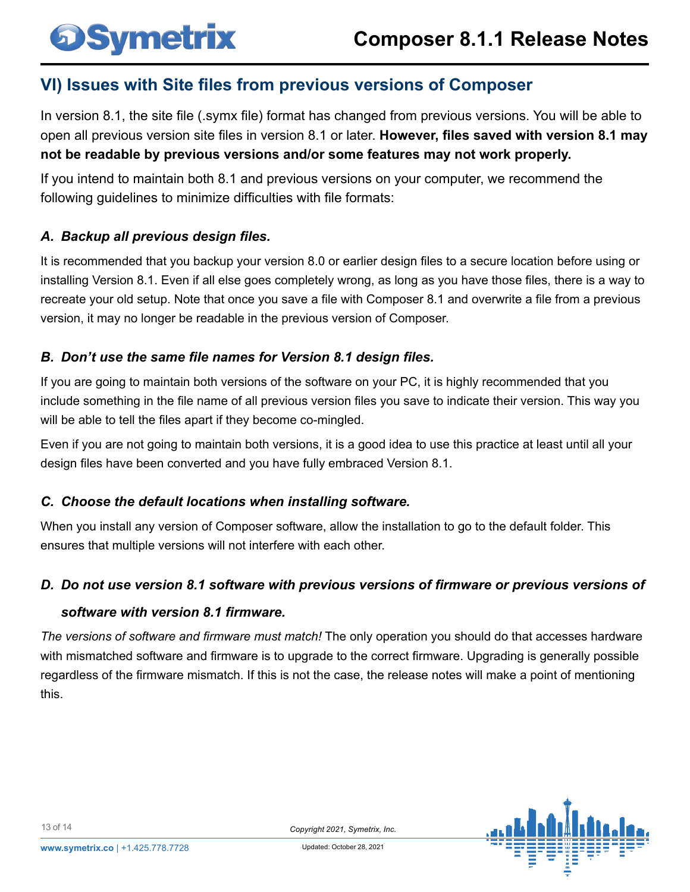### **VI) Issues with Site files from previous versions of Composer**

In version 8.1, the site file (.symx file) format has changed from previous versions. You will be able to open all previous version site files in version 8.1 or later. **However, files saved with version 8.1 may not be readable by previous versions and/or some features may not work properly.**

If you intend to maintain both 8.1 and previous versions on your computer, we recommend the following guidelines to minimize difficulties with file formats:

### *A. Backup all previous design files.*

<span id="page-12-0"></span>**OSymetrix** 

It is recommended that you backup your version 8.0 or earlier design files to a secure location before using or installing Version 8.1. Even if all else goes completely wrong, as long as you have those files, there is a way to recreate your old setup. Note that once you save a file with Composer 8.1 and overwrite a file from a previous version, it may no longer be readable in the previous version of Composer.

### *B. Don't use the same file names for Version 8.1 design files.*

If you are going to maintain both versions of the software on your PC, it is highly recommended that you include something in the file name of all previous version files you save to indicate their version. This way you will be able to tell the files apart if they become co-mingled.

Even if you are not going to maintain both versions, it is a good idea to use this practice at least until all your design files have been converted and you have fully embraced Version 8.1.

### *C. Choose the default locations when installing software.*

When you install any version of Composer software, allow the installation to go to the default folder. This ensures that multiple versions will not interfere with each other.

### *D. Do not use version 8.1 software with previous versions of firmware or previous versions of*

#### *software with version 8.1 firmware.*

*The versions of software and firmware must match!* The only operation you should do that accesses hardware with mismatched software and firmware is to upgrade to the correct firmware. Upgrading is generally possible regardless of the firmware mismatch. If this is not the case, the release notes will make a point of mentioning this.